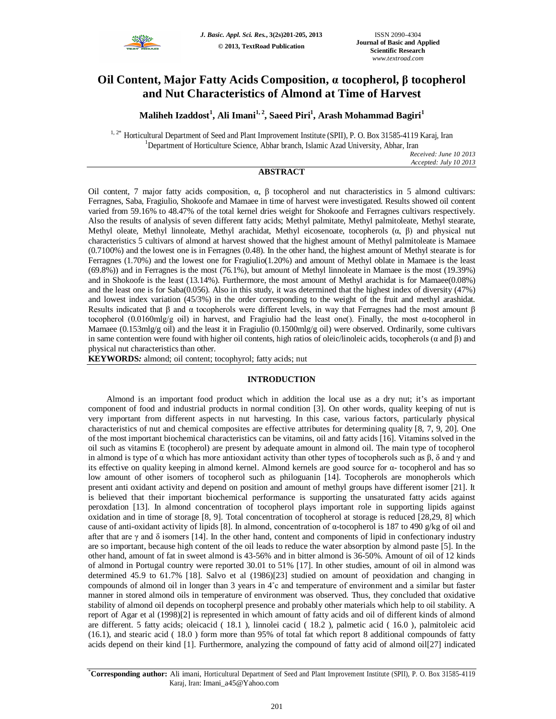

# **Oil Content, Major Fatty Acids Composition, α tocopherol, β tocopherol and Nut Characteristics of Almond at Time of Harvest**

**Maliheh Izaddost<sup>1</sup> , Ali Imani1, 2 , Saeed Piri<sup>1</sup> , Arash Mohammad Bagiri<sup>1</sup>**

<sup>1, 2\*</sup> Horticultural Department of Seed and Plant Improvement Institute (SPII), P. O. Box 31585-4119 Karaj, Iran <sup>1</sup>Department of Horticulture Science, Abhar branch, Islamic Azad University, Abhar, Iran

*Received: June 10 2013 Accepted: July 10 2013*

## **ABSTRACT**

Oil content, 7 major fatty acids composition,  $\alpha$ , β tocopherol and nut characteristics in 5 almond cultivars: Ferragnes, Saba, Fragiulio, Shokoofe and Mamaee in time of harvest were investigated. Results showed oil content varied from 59.16% to 48.47% of the total kernel dries weight for Shokoofe and Ferragnes cultivars respectively. Also the results of analysis of seven different fatty acids; Methyl palmitate, Methyl palmitoleate, Methyl stearate, Methyl oleate, Methyl linnoleate, Methyl arachidat, Methyl eicosenoate, tocopherols (α, β) and physical nut characteristics 5 cultivars of almond at harvest showed that the highest amount of Methyl palmitoleate is Mamaee (0.7100%) and the lowest one is in Ferragnes (0.48). In the other hand, the highest amount of Methyl stearate is for Ferragnes (1.70%) and the lowest one for Fragiulio(1.20%) and amount of Methyl oblate in Mamaee is the least (69.8%)) and in Ferragnes is the most (76.1%), but amount of Methyl linnoleate in Mamaee is the most (19.39%) and in Shokoofe is the least (13.14%). Furthermore, the most amount of Methyl arachidat is for Mamaee(0.08%) and the least one is for Saba(0.056). Also in this study, it was determined that the highest index of diversity (47%) and lowest index variation (45/3%) in the order corresponding to the weight of the fruit and methyl arashidat. Results indicated that  $\beta$  and  $\alpha$  tocopherols were different levels, in way that Ferragnes had the most amount  $\beta$ tocopherol (0.0160mlg/g oil) in harvest, and Fragiulio had the least one(). Finally, the most α-tocopherol in Mamaee (0.153mlg/g oil) and the least it in Fragiulio (0.1500mlg/g oil) were observed. Ordinarily, some cultivars in same contention were found with higher oil contents, high ratios of oleic/linoleic acids, tocopherols (α and β) and physical nut characteristics than other.

**KEYWORDS***:* almond; oil content; tocophyrol; fatty acids; nut

## **INTRODUCTION**

Almond is an important food product which in addition the local use as a dry nut; it's as important component of food and industrial products in normal condition [3]. On other words, quality keeping of nut is very important from different aspects in nut harvesting. In this case, various factors, particularly physical characteristics of nut and chemical composites are effective attributes for determining quality [8, 7, 9, 20]. One of the most important biochemical characteristics can be vitamins, oil and fatty acids [16]. Vitamins solved in the oil such as vitamins E (tocopherol) are present by adequate amount in almond oil. The main type of tocopherol in almond is type of α which has more antioxidant activity than other types of tocopherols such as  $\beta$ ,  $\delta$  and  $\gamma$  and its effective on quality keeping in almond kernel. Almond kernels are good source for α- tocopherol and has so low amount of other isomers of tocopherol such as philoguanin [14]. Tocopherols are monopherols which present anti oxidant activity and depend on position and amount of methyl groups have different isomer [21]. It is believed that their important biochemical performance is supporting the unsaturated fatty acids against peroxdation [13]. In almond concentration of tocopherol plays important role in supporting lipids against oxidation and in time of storage [8, 9]. Total concentration of tocopherol at storage is reduced [28,29, 8] which cause of anti-oxidant activity of lipids [8]. In almond, concentration of α-tocopherol is 187 to 490 g/kg of oil and after that are  $\gamma$  and  $\delta$  isomers [14]. In the other hand, content and components of lipid in confectionary industry are so important, because high content of the oil leads to reduce the water absorption by almond paste [5]. In the other hand, amount of fat in sweet almond is 43-56% and in bitter almond is 36-50%. Amount of oil of 12 kinds of almond in Portugal country were reported 30.01 to 51% [17]. In other studies, amount of oil in almond was determined 45.9 to 61.7% [18]. Salvo et al (1986)[23] studied on amount of peoxidation and changing in compounds of almond oil in longer than 3 years in 4˚c and temperature of environment and a similar but faster manner in stored almond oils in temperature of environment was observed. Thus, they concluded that oxidative stability of almond oil depends on tocopherpl presence and probably other materials which help to oil stability. A report of Agar et al (1998)[2] is represented in which amount of fatty acids and oil of different kinds of almond are different. 5 fatty acids; oleicacid ( 18.1 ), linnolei cacid ( 18.2 ), palmetic acid ( 16.0 ), palmitoleic acid (16.1), and stearic acid ( 18.0 ) form more than 95% of total fat which report 8 additional compounds of fatty acids depend on their kind [1]. Furthermore, analyzing the compound of fatty acid of almond oil[27] indicated

\***Corresponding author:** Ali imani, Horticultural Department of Seed and Plant Improvement Institute (SPII), P. O. Box 31585-4119 Karaj, Iran: Imani\_a45@Yahoo.com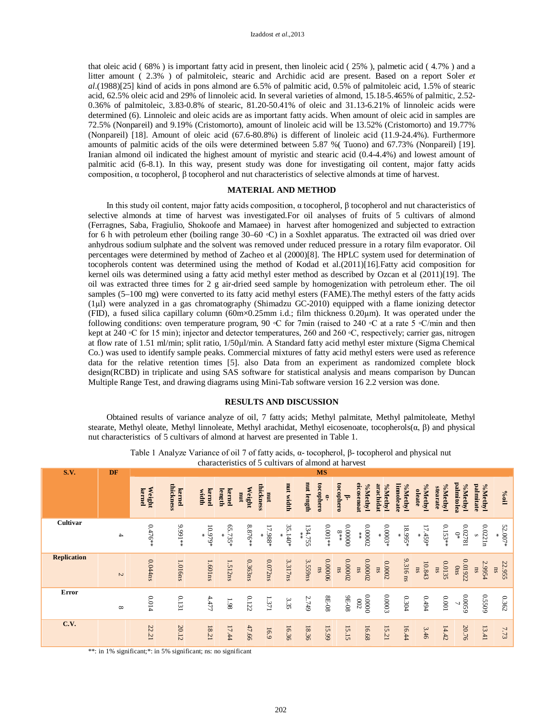that oleic acid ( 68% ) is important fatty acid in present, then linoleic acid ( 25% ), palmetic acid ( 4.7% ) and a litter amount ( 2.3% ) of palmitoleic, stearic and Archidic acid are present. Based on a report Soler *et al*.(1988)[25] kind of acids in pons almond are 6.5% of palmitic acid, 0.5% of palmitoleic acid, 1.5% of stearic acid, 62.5% oleic acid and 29% of linnoleic acid. In several varieties of almond, 15.18-5.465% of palmitic, 2.52- 0.36% of palmitoleic, 3.83-0.8% of stearic, 81.20-50.41% of oleic and 31.13-6.21% of linnoleic acids were determined (6). Linnoleic and oleic acids are as important fatty acids. When amount of oleic acid in samples are 72.5% (Nonpareil) and 9.19% (Cristomorto), amount of linoleic acid will be 13.52% (Cristomorto) and 19.77% (Nonpareil) [18]. Amount of oleic acid (67.6-80.8%) is different of linoleic acid (11.9-24.4%). Furthermore amounts of palmitic acids of the oils were determined between 5.87 %( Tuono) and 67.73% (Nonpareil) [19]. Iranian almond oil indicated the highest amount of myristic and stearic acid (0.4-4.4%) and lowest amount of palmitic acid (6-8.1). In this way, present study was done for investigating oil content, major fatty acids composition, α tocopherol, β tocopherol and nut characteristics of selective almonds at time of harvest.

## **MATERIAL AND METHOD**

In this study oil content, major fatty acids composition, α tocopherol, β tocopherol and nut characteristics of selective almonds at time of harvest was investigated.For oil analyses of fruits of 5 cultivars of almond (Ferragnes, Saba, Fragiulio, Shokoofe and Mamaee) in harvest after homogenized and subjected to extraction for 6 h with petroleum ether (boiling range 30–60 ◦C) in a Soxhlet apparatus. The extracted oil was dried over anhydrous sodium sulphate and the solvent was removed under reduced pressure in a rotary film evaporator. Oil percentages were determined by method of Zacheo et al (2000)[8]. The HPLC system used for determination of tocopherols content was determined using the method of Kodad et al.(2011)[16].Fatty acid composition for kernel oils was determined using a fatty acid methyl ester method as described by Ozcan et al (2011)[19]. The oil was extracted three times for 2 g air-dried seed sample by homogenization with petroleum ether. The oil samples (5–100 mg) were converted to its fatty acid methyl esters (FAME).The methyl esters of the fatty acids (1µl) were analyzed in a gas chromatography (Shimadzu GC-2010) equipped with a flame ionizing detector (FID), a fused silica capillary column ( $60m \times 0.25mm$  i.d.; film thickness 0.20 $\mu$ m). It was operated under the following conditions: oven temperature program, 90 °C for 7min (raised to 240 °C at a rate 5 °C/min and then kept at 240 ◦C for 15 min); injector and detector temperatures, 260 and 260 ◦C, respectively; carrier gas, nitrogen at flow rate of 1.51 ml/min; split ratio, 1/50µl/min. A Standard fatty acid methyl ester mixture (Sigma Chemical Co.) was used to identify sample peaks. Commercial mixtures of fatty acid methyl esters were used as reference data for the relative retention times [5]. also Data from an experiment as randomized complete block design(RCBD) in triplicate and using SAS software for statistical analysis and means comparison by Duncan Multiple Range Test, and drawing diagrams using Mini-Tab software version 16 2.2 version was done.

## **RESULTS AND DISCUSSION**

Obtained results of variance analyze of oil, 7 fatty acids; Methyl palmitate, Methyl palmitoleate, Methyl stearate, Methyl oleate, Methyl linnoleate, Methyl arachidat, Methyl eicosenoate, tocopherols(α, β) and physical nut characteristics of 5 cultivars of almond at harvest are presented in Table 1.

| <b>S.V.</b>        | DF            |                  |                     |                      | una actoristico  | $\mathbf{u}$ |                    |              |            | <b>MS</b>               |                                                                  |                       |                       |                       |                          |                       |                            |                      |              |
|--------------------|---------------|------------------|---------------------|----------------------|------------------|--------------|--------------------|--------------|------------|-------------------------|------------------------------------------------------------------|-----------------------|-----------------------|-----------------------|--------------------------|-----------------------|----------------------------|----------------------|--------------|
|                    |               | Weight<br>kernel | thickness<br>kernel | kernel<br>width      | length<br>kernel | Weight<br>mu | thickness<br>nur   | nut width    | mut length | tocophero<br>ė.         | tocophero<br>ಕ್                                                  | eicosenoat<br>%Methyl | arachidat<br>%Methyl  | linnoleate<br>%Methyl | %Methyl<br><b>oleate</b> | %Methyl<br>stearate   | palmitolea<br>%Methyl      | palmitate<br>%Methyl | $\log$       |
| Cultivar           | $\rightarrow$ | $0.476**$        | **166.6             | $10.979*$            | $65.735*$        | $8.876**$    | $17.988*$<br>₩     | 35.140*<br>× | 134.755    | $0.001**$               | $\begin{array}{c} * \ast \ast \\ 8 \ast \ast \end{array}$ 000000 | $0.00002$             | $0.0003*$             | 18.995*<br>∗          | $17.459*$                | $0.153**$             | $0.02781$ $$\mbox{\,0\,}$$ | 0.0221n              | 52.007*      |
| <b>Replication</b> | $\mathcal{L}$ | 0.044ns          | 1.016ns             | $1.601\,\mathrm{ns}$ | 1.512ns          | 0.363ns      | $0.072\mathrm{ns}$ | 3.317ns      | 3.559ns    | 0.00006<br>$\mathbf{n}$ | 0.00002<br>$n_{\rm s}$                                           | 0.00002<br>$\rm ns$   | 0.0002<br>$_{\rm ns}$ | 9.316 ns              | 10.843<br>$\mathbf{m}$   | 0.0135<br>$_{\rm ns}$ | 0.01922<br>$0 \mathrm{ns}$ | 2.9954<br>nsn        | 22.955<br>ns |
| Error              | ${}^{\circ}$  | 0.014            | 0.131               | 4.477                | $^{1.98}\,$      | $0.122\,$    | $1.371\,$          | 3.35         | 2.749      | $80 - 18$               | 80-E6                                                            | 00000<br>$\sqrt{00}$  | 0.0003                | $0.304\,$             | $t6t.0$                  | $100.0$               | 65000                      | 60550                | $0.362\,$    |
| <b>C.V.</b>        |               | 22.21            | 20.12               | 18.21                | 17.44            | 47.66        | 16.9               | 16.36        | 18.36      | 15.99                   | 15.15                                                            | 16.68                 | 15.21                 | 16.44                 | 3.46                     | 14.42                 | 20.76                      | 13.41                | 7.73         |

Table 1 Analyze Variance of oil 7 of fatty acids, α- tocopherol, β- tocopherol and physical nut characteristics of 5 cultivars of almond at harvest

\*\*: in 1% significant;\*: in 5% significant; ns: no significant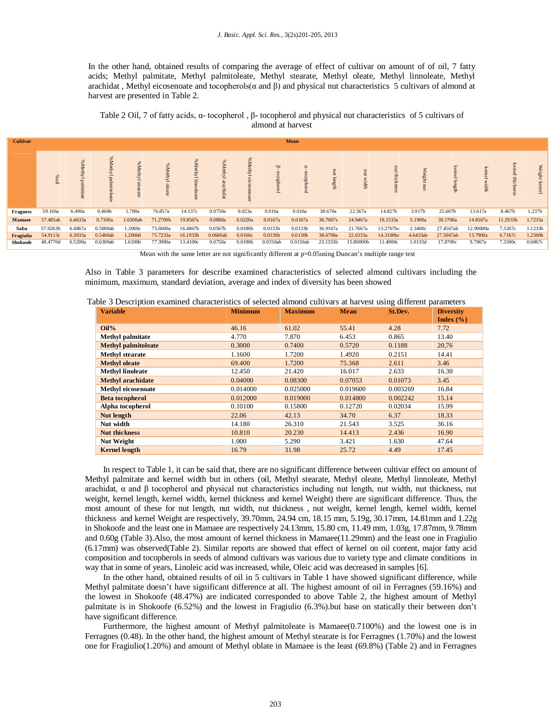In the other hand, obtained results of comparing the average of effect of cultivar on amount of of oil, 7 fatty acids; Methyl palmitate, Methyl palmitoleate, Methyl stearate, Methyl oleate, Methyl linnoleate, Methyl arachidat, Methyl eicosenoate and tocopherols( $\alpha$  and  $\beta$ ) and physical nut characteristics 5 cultivars of almond at harvest are presented in Table 2.

Table 2 Oil, 7 of fatty acids, α- tocopherol , β- tocopherol and physical nut characteristics of 5 cultivars of almond at harvest

| <b>Cultivar</b> | Mean     |                                                        |                               |                                |                       |            |              |                 |          |          |                   |                                  |           |            |                                                  |                                           |                 |               |
|-----------------|----------|--------------------------------------------------------|-------------------------------|--------------------------------|-----------------------|------------|--------------|-----------------|----------|----------|-------------------|----------------------------------|-----------|------------|--------------------------------------------------|-------------------------------------------|-----------------|---------------|
|                 | Woil     | SK <sub>0</sub><br>Methyl palmi<br>$\overline{\sigma}$ | %<br>Methyl palmi<br>itoleate | %<br>Methy <sup>1</sup><br>ate | %<br>Methyl<br>oleate | S,<br>lyth | Se<br>Methyl | %Methyl<br>oate | þ<br>Ĕ   | ö,       | $\Xi$<br>ಕ<br>gth | $\Xi$<br>$\overline{ }$<br>width | nut thick | Weight nut | kem<br>$\bar{c}$<br>$\ensuremath{\text{length}}$ | $\overline{\mathbf{z}}$<br>cemel<br>width | kemel thickness | Weight kernel |
| <b>Fragness</b> | 59.166a  | 6.490a                                                 | 0.460b                        | .700a                          | 76.857a               | 14.137c    | 0.0750a      | 0.023a          | 0.016a   | 0.016a   | 38.670a           | 22.567a                          | 14.827b   | 3.917b     | 25.607b                                          | 13.617a                                   | 8.467b          | 1.237b        |
| <b>Mamaee</b>   | 57.485ab | 6.4633a                                                | 0.7100a                       | .6500ab                        | 71.2700b              | 19.8567a   | 0.0800a      | 0.0220a         | 0.0167a  | 0.0167a  | 36.7067s          | 24.9467a                         | 18.1533a  | 5.1900a    | 30.1700a                                         | 14.8167a                                  | 11.2933b        | 1.7233a       |
| Saba            | 57.0263b | 6.4867a                                                | 0.5000ab                      | 1.3000c                        | 75.6000a              | 16.4867b   | 0.0567b      | 0.0180b         | 0.0133b  | 0.0133b  | 36.9167a          | 21.7667a                         | 13.2767bc | 2.3400c    | 27.4567ab                                        | 12.90000a                                 | 7.3267c         | 1.1233b       |
| Fragiulio       | 54.9113c | 6.3033a                                                | 0.5400ab                      | 1.2000d                        | 75.7233a              | 16.1933b   | 0.0660ab     | 0.0160c         | 0.0130b  | 0.0130b  | 38.6700a          | 22.6333a                         | 14.3100bc | 4.6433ab   | 27.5067ab                                        | 13.7900a                                  | 6.7167c         | 1.2500b       |
| Shokoofe        | 48.4770d | 6.5200a                                                | 0.6300ab                      | 1.6100b                        | 77.3900a              | 13.4100c   | 0.0750a      | 0.0190b         | 0.0150ab | 0.0150ab | 23.1333b          | 15.80000b                        | 11.4900c  | 1.0133d    | 17.8700c                                         | 9.7867a                                   | 7.3500c         | 0.6067c       |

Mean with the same letter are not significantly different at p=0.05using Duncan's multiple range test

Also in Table 3 parameters for describe examined characteristics of selected almond cultivars including the minimum, maximum, standard deviation, average and index of diversity has been showed

|  |  | Table 3 Description examined characteristics of selected almond cultivars at harvest using different parameters |  |  |  |  |
|--|--|-----------------------------------------------------------------------------------------------------------------|--|--|--|--|
|  |  |                                                                                                                 |  |  |  |  |

| <b>Variable</b>            | <b>Minimum</b> | <b>Maximum</b> | <b>Mean</b> | St.Dev.  | <b>Diversity</b><br>Index $(\% )$ |
|----------------------------|----------------|----------------|-------------|----------|-----------------------------------|
| $Oil\%$                    | 46.16          | 61.02          | 55.41       | 4.28     | 7.72                              |
| <b>Methyl palmitate</b>    | 4.770          | 7.870          | 6.453       | 0.865    | 13.40                             |
| <b>Methyl palmitoleate</b> | 0.3000         | 0.7400         | 0.5720      | 0.1188   | 20,76                             |
| <b>Methyl stearate</b>     | 1.1600         | 1.7200         | 1.4920      | 0.2151   | 14.41                             |
| <b>Methyl oleate</b>       | 69.400         | 1.7200         | 75.368      | 2.611    | 3.46                              |
| <b>Methyl linoleate</b>    | 12.450         | 21.420         | 16.017      | 2.633    | 16.30                             |
| <b>Methyl arachidate</b>   | 0.04000        | 0.08300        | 0.07053     | 0.01073  | 3.45                              |
| <b>Methyl eicosenoate</b>  | 0.014000       | 0.025000       | 0.019600    | 0.003269 | 16.84                             |
| <b>Beta tocopherol</b>     | 0.012000       | 0.019000       | 0.014800    | 0.002242 | 15.14                             |
| Alpha tocopherol           | 0.10100        | 0.15800        | 0.12720     | 0.02034  | 15.99                             |
| Nut length                 | 22.06          | 42.13          | 34.70       | 6.37     | 18.33                             |
| Nut width                  | 14.180         | 26.310         | 21.543      | 3.525    | 36.16                             |
| <b>Nut thickness</b>       | 10.810         | 20.230         | 14.413      | 2.436    | 16.90                             |
| <b>Nut Weight</b>          | 1.000          | 5.290          | 3.421       | 1.630    | 47.64                             |
| <b>Kernel length</b>       | 16.79          | 31.98          | 25.72       | 4.49     | 17.45                             |

In respect to Table 1, it can be said that, there are no significant difference between cultivar effect on amount of Methyl palmitate and kernel width but in others (oil, Methyl stearate, Methyl oleate, Methyl linnoleate, Methyl arachidat,  $\alpha$  and  $\beta$  tocopherol and physical nut characteristics including nut length, nut width, nut thickness, nut weight, kernel length, kernel width, kernel thickness and kernel Weight) there are significant difference. Thus, the most amount of these for nut length, nut width, nut thickness , nut weight, kernel length, kernel width, kernel thickness and kernel Weight are respectively, 39.70mm, 24.94 cm, 18.15 mm, 5.19g, 30.17mm, 14.81mm and 1.22g in Shokoofe and the least one in Mamaee are respectively 24.13mm, 15.80 cm, 11.49 mm, 1.03g, 17.87mm, 9.78mm and 0.60g (Table 3).Also, the most amount of kernel thickness in Mamaee(11.29mm) and the least one in Fragiulio (6.17mm) was observed(Table 2). Similar reports are showed that effect of kernel on oil content, major fatty acid composition and tocopherols in seeds of almond cultivars was various due to variety type and climate conditions in way that in some of years, Linoleic acid was increased, while, Oleic acid was decreased in samples [6].

In the other hand, obtained results of oil in 5 cultivars in Table 1 have showed significant difference, while Methyl palmitate doesn't have significant difference at all. The highest amount of oil in Ferragnes (59.16%) and the lowest in Shokoofe (48.47%) are indicated corresponded to above Table 2, the highest amount of Methyl palmitate is in Shokoofe (6.52%) and the lowest in Fragiulio (6.3%).but base on statically their between don't have significant difference.

Furthermore, the highest amount of Methyl palmitoleate is Mamaee(0.7100%) and the lowest one is in Ferragnes (0.48). In the other hand, the highest amount of Methyl stearate is for Ferragnes (1.70%) and the lowest one for Fragiulio(1.20%) and amount of Methyl oblate in Mamaee is the least (69.8%) (Table 2) and in Ferragnes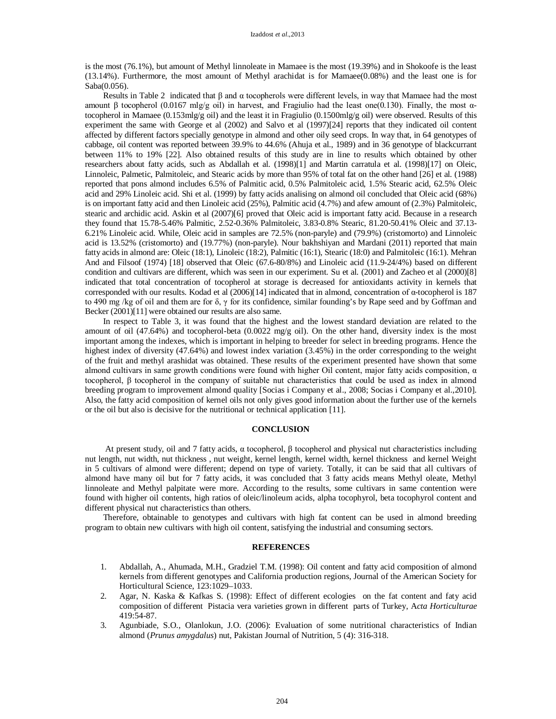is the most (76.1%), but amount of Methyl linnoleate in Mamaee is the most (19.39%) and in Shokoofe is the least (13.14%). Furthermore, the most amount of Methyl arachidat is for Mamaee(0.08%) and the least one is for Saba(0.056).

Results in Table 2 indicated that  $\beta$  and  $\alpha$  tocopherols were different levels, in way that Mamaee had the most amount β tocopherol (0.0167 mlg/g oil) in harvest, and Fragiulio had the least one(0.130). Finally, the most  $α$ tocopherol in Mamaee (0.153mlg/g oil) and the least it in Fragiulio (0.1500mlg/g oil) were observed. Results of this experiment the same with George et al (2002) and Salvo et al (1997)[24] reports that they indicated oil content affected by different factors specially genotype in almond and other oily seed crops. In way that, in 64 genotypes of cabbage, oil content was reported between 39.9% to 44.6% (Ahuja et al., 1989) and in 36 genotype of blackcurrant between 11% to 19% [22]. Also obtained results of this study are in line to results which obtained by other researchers about fatty acids, such as Abdallah et al. (1998)[1] and Martin carratula et al. (1998)[17] on Oleic, Linnoleic, Palmetic, Palmitoleic, and Stearic acids by more than 95% of total fat on the other hand [26] et al. (1988) reported that pons almond includes 6.5% of Palmitic acid, 0.5% Palmitoleic acid, 1.5% Stearic acid, 62.5% Oleic acid and 29% Linoleic acid. Shi et al. (1999) by fatty acids analising on almond oil concluded that Oleic acid (68%) is on important fatty acid and then Linoleic acid (25%), Palmitic acid (4.7%) and afew amount of (2.3%) Palmitoleic, stearic and archidic acid. Askin et al (2007)[6] proved that Oleic acid is important fatty acid. Because in a research they found that 15.78-5.46% Palmitic, 2.52-0.36% Palmitoleic, 3.83-0.8% Stearic, 81.20-50.41% Oleic and 37.13- 6.21% Linoleic acid. While, Oleic acid in samples are 72.5% (non-paryle) and (79.9%) (cristomorto) and Linnoleic acid is 13.52% (cristomorto) and (19.77%) (non-paryle). Nour bakhshiyan and Mardani (2011) reported that main fatty acids in almond are: Oleic (18:1), Linoleic (18:2), Palmitic (16:1), Stearic (18:0) and Palmitoleic (16:1). Mehran And and Filsoof (1974) [18] observed that Oleic (67.6-80/8%) and Linoleic acid (11.9-24/4%) based on different condition and cultivars are different, which was seen in our experiment. Su et al. (2001) and Zacheo et al (2000)[8] indicated that total concentration of tocopherol at storage is decreased for antioxidants activity in kernels that corresponded with our results. Kodad et al (2006)[14] indicated that in almond, concentration of α-tocopherol is 187 to 490 mg /kg of oil and them are for δ, γ for its confidence, similar founding's by Rape seed and by Goffman and Becker (2001)[11] were obtained our results are also same.

In respect to Table 3, it was found that the highest and the lowest standard deviation are related to the amount of oil (47.64%) and tocopherol-beta (0.0022 mg/g oil). On the other hand, diversity index is the most important among the indexes, which is important in helping to breeder for select in breeding programs. Hence the highest index of diversity (47.64%) and lowest index variation (3.45%) in the order corresponding to the weight of the fruit and methyl arashidat was obtained. These results of the experiment presented have shown that some almond cultivars in same growth conditions were found with higher Oil content, major fatty acids composition,  $\alpha$ tocopherol, β tocopherol in the company of suitable nut characteristics that could be used as index in almond breeding program to improvement almond quality [Socias i Company et al., 2008; Socias i Company et al.,2010]. Also, the fatty acid composition of kernel oils not only gives good information about the further use of the kernels or the oil but also is decisive for the nutritional or technical application [11].

#### **CONCLUSION**

At present study, oil and 7 fatty acids, α tocopherol, β tocopherol and physical nut characteristics including nut length, nut width, nut thickness , nut weight, kernel length, kernel width, kernel thickness and kernel Weight in 5 cultivars of almond were different; depend on type of variety. Totally, it can be said that all cultivars of almond have many oil but for 7 fatty acids, it was concluded that 3 fatty acids means Methyl oleate, Methyl linnoleate and Methyl palpitate were more. According to the results, some cultivars in same contention were found with higher oil contents, high ratios of oleic/linoleum acids, alpha tocophyrol, beta tocophyrol content and different physical nut characteristics than others.

Therefore, obtainable to genotypes and cultivars with high fat content can be used in almond breeding program to obtain new cultivars with high oil content, satisfying the industrial and consuming sectors.

#### **REFERENCES**

- 1. Abdallah, A., Ahumada, M.H., Gradziel T.M. (1998): Oil content and fatty acid composition of almond kernels from different genotypes and California production regions, Journal of the American Society for Horticultural Science, 123:1029–1033.
- 2. Agar, N. Kaska & Kafkas S. (1998): Effect of different ecologies on the fat content and faty acid composition of different Pistacia vera varieties grown in different parts of Turkey, A*cta Horticulturae* 419:54-87.
- 3. Agunbiade, S.O., Olanlokun, J.O. (2006): Evaluation of some nutritional characteristics of Indian almond (*Prunus amygdalus*) nut, Pakistan Journal of Nutrition, 5 (4): 316-318.